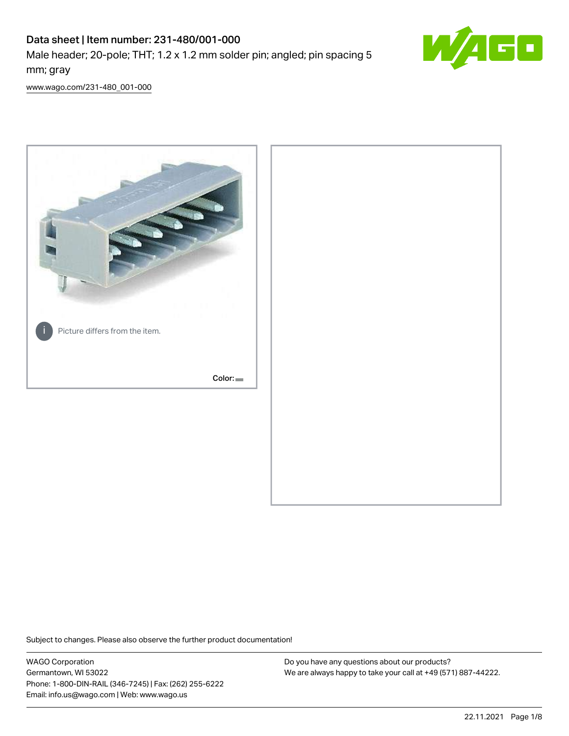# Data sheet | Item number: 231-480/001-000

Male header; 20-pole; THT; 1.2 x 1.2 mm solder pin; angled; pin spacing 5 mm; gray



[www.wago.com/231-480\\_001-000](http://www.wago.com/231-480_001-000)



Subject to changes. Please also observe the further product documentation!

WAGO Corporation Germantown, WI 53022 Phone: 1-800-DIN-RAIL (346-7245) | Fax: (262) 255-6222 Email: info.us@wago.com | Web: www.wago.us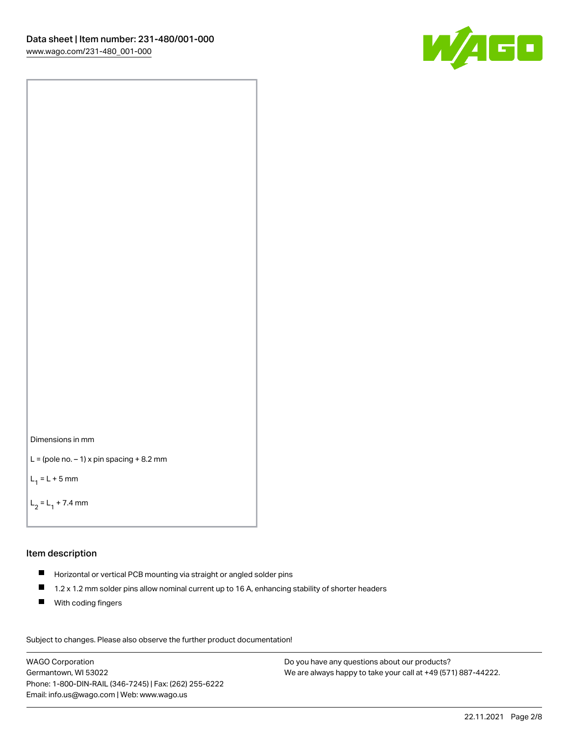



```
L = (pole no. -1) x pin spacing +8.2 mm
```
 $L_1 = L + 5$  mm

```
L_2 = L_1 + 7.4 mm
```
#### Item description

- Horizontal or vertical PCB mounting via straight or angled solder pins
- $\blacksquare$ 1.2 x 1.2 mm solder pins allow nominal current up to 16 A, enhancing stability of shorter headers
- **With coding fingers**

Subject to changes. Please also observe the further product documentation! Data

WAGO Corporation Germantown, WI 53022 Phone: 1-800-DIN-RAIL (346-7245) | Fax: (262) 255-6222 Email: info.us@wago.com | Web: www.wago.us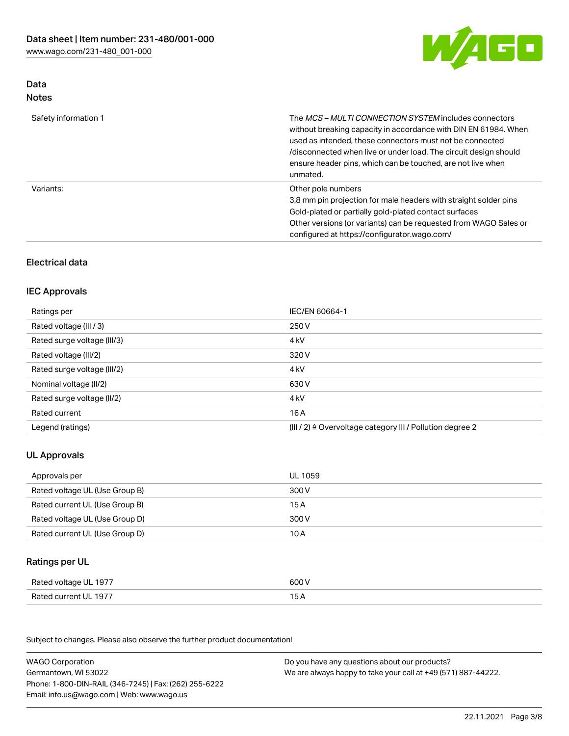

# Data Notes

| Safety information 1 | The <i>MCS – MULTI CONNECTION SYSTEM</i> includes connectors<br>without breaking capacity in accordance with DIN EN 61984. When<br>used as intended, these connectors must not be connected<br>/disconnected when live or under load. The circuit design should<br>ensure header pins, which can be touched, are not live when<br>unmated. |
|----------------------|--------------------------------------------------------------------------------------------------------------------------------------------------------------------------------------------------------------------------------------------------------------------------------------------------------------------------------------------|
| Variants:            | Other pole numbers<br>3.8 mm pin projection for male headers with straight solder pins<br>Gold-plated or partially gold-plated contact surfaces<br>Other versions (or variants) can be requested from WAGO Sales or<br>configured at https://configurator.wago.com/                                                                        |

# Electrical data

# IEC Approvals

| Ratings per                 | IEC/EN 60664-1                                                        |
|-----------------------------|-----------------------------------------------------------------------|
| Rated voltage (III / 3)     | 250 V                                                                 |
| Rated surge voltage (III/3) | 4 <sub>k</sub> V                                                      |
| Rated voltage (III/2)       | 320 V                                                                 |
| Rated surge voltage (III/2) | 4 <sub>k</sub> V                                                      |
| Nominal voltage (II/2)      | 630 V                                                                 |
| Rated surge voltage (II/2)  | 4 <sub>k</sub> V                                                      |
| Rated current               | 16 A                                                                  |
| Legend (ratings)            | $(III / 2)$ $\triangle$ Overvoltage category III / Pollution degree 2 |

# UL Approvals

| Approvals per                  | UL 1059 |
|--------------------------------|---------|
| Rated voltage UL (Use Group B) | 300 V   |
| Rated current UL (Use Group B) | 15 A    |
| Rated voltage UL (Use Group D) | 300 V   |
| Rated current UL (Use Group D) | 10 A    |

### Ratings per UL

| Rated voltage UL 1977 | 600 V |
|-----------------------|-------|
| Rated current UL 1977 |       |

Subject to changes. Please also observe the further product documentation!

| <b>WAGO Corporation</b>                                | Do you have any questions about our products?                 |
|--------------------------------------------------------|---------------------------------------------------------------|
| Germantown, WI 53022                                   | We are always happy to take your call at +49 (571) 887-44222. |
| Phone: 1-800-DIN-RAIL (346-7245)   Fax: (262) 255-6222 |                                                               |
| Email: info.us@wago.com   Web: www.wago.us             |                                                               |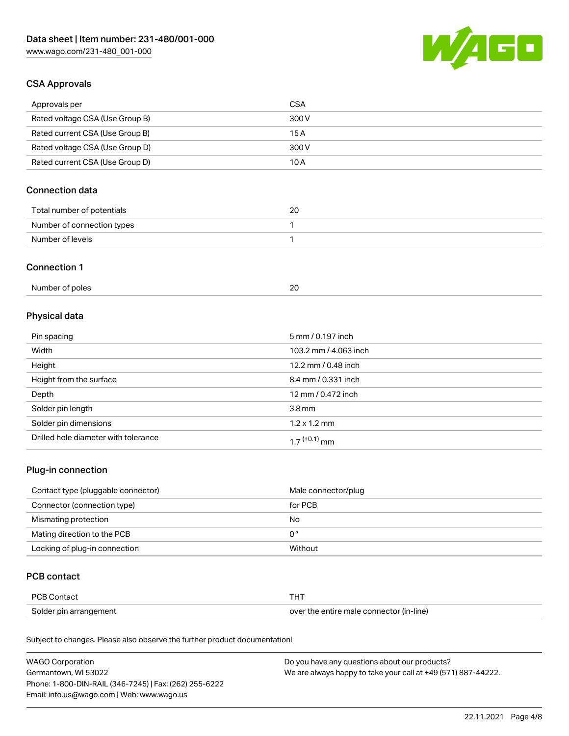

# CSA Approvals

| Approvals per                   | CSA   |
|---------------------------------|-------|
| Rated voltage CSA (Use Group B) | 300 V |
| Rated current CSA (Use Group B) | 15 A  |
| Rated voltage CSA (Use Group D) | 300 V |
| Rated current CSA (Use Group D) | 10 A  |

# Connection data

| Total number of potentials | 20 |
|----------------------------|----|
| Number of connection types |    |
| Number of levels           |    |

#### Connection 1

| Number of poles |  |
|-----------------|--|
|                 |  |

# Physical data

| Pin spacing                          | 5 mm / 0.197 inch     |
|--------------------------------------|-----------------------|
| Width                                | 103.2 mm / 4.063 inch |
| Height                               | 12.2 mm / 0.48 inch   |
| Height from the surface              | 8.4 mm / 0.331 inch   |
| Depth                                | 12 mm / 0.472 inch    |
| Solder pin length                    | 3.8 <sub>mm</sub>     |
| Solder pin dimensions                | $1.2 \times 1.2$ mm   |
| Drilled hole diameter with tolerance | $17^{(+0.1)}$ mm      |

# Plug-in connection

| Contact type (pluggable connector) | Male connector/plug |
|------------------------------------|---------------------|
| Connector (connection type)        | for PCB             |
| Mismating protection               | No                  |
| Mating direction to the PCB        | 0°                  |
| Locking of plug-in connection      | Without             |

### PCB contact

| <b>PCB Contact</b>     |                                          |
|------------------------|------------------------------------------|
| Solder pin arrangement | over the entire male connector (in-line) |

Subject to changes. Please also observe the further product documentation!

| <b>WAGO Corporation</b>                                | Do you have any questions about our products?                 |
|--------------------------------------------------------|---------------------------------------------------------------|
| Germantown, WI 53022                                   | We are always happy to take your call at +49 (571) 887-44222. |
| Phone: 1-800-DIN-RAIL (346-7245)   Fax: (262) 255-6222 |                                                               |
| Email: info.us@wago.com   Web: www.wago.us             |                                                               |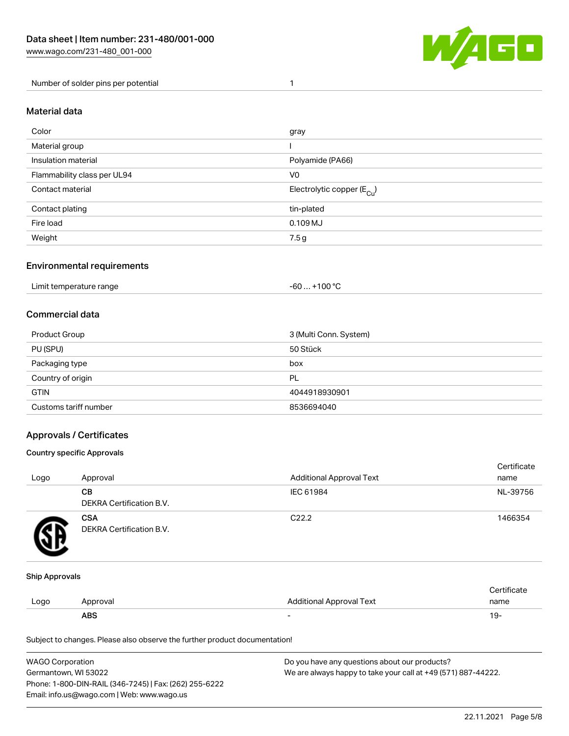

Number of solder pins per potential 1

#### Material data

| Color                       | gray                                   |
|-----------------------------|----------------------------------------|
| Material group              |                                        |
| Insulation material         | Polyamide (PA66)                       |
| Flammability class per UL94 | V <sub>0</sub>                         |
| Contact material            | Electrolytic copper (E <sub>Cu</sub> ) |
| Contact plating             | tin-plated                             |
| Fire load                   | $0.109$ MJ                             |
| Weight                      | 7.5 g                                  |

#### Environmental requirements

Limit temperature range  $-60... +100$  °C

#### Commercial data

| Product Group         | 3 (Multi Conn. System) |
|-----------------------|------------------------|
| PU (SPU)              | 50 Stück               |
| Packaging type        | box                    |
| Country of origin     | PL                     |
| <b>GTIN</b>           | 4044918930901          |
| Customs tariff number | 8536694040             |

### Approvals / Certificates

#### Country specific Approvals

| Logo | Approval                               | <b>Additional Approval Text</b> | Certificate<br>name |
|------|----------------------------------------|---------------------------------|---------------------|
|      | <b>CB</b><br>DEKRA Certification B.V.  | IEC 61984                       | NL-39756            |
|      | <b>CSA</b><br>DEKRA Certification B.V. | C <sub>22.2</sub>               | 1466354             |

#### Ship Approvals

|      | <b>ABS</b> |                                 | -9 ا        |
|------|------------|---------------------------------|-------------|
| Logo | Approval   | <b>Additional Approval Text</b> | name        |
|      |            |                                 | ∩ertificate |

Subject to changes. Please also observe the further product documentation!

| WAGO Corporation                                       | Do you have any questions about our products?                 |
|--------------------------------------------------------|---------------------------------------------------------------|
| Germantown, WI 53022                                   | We are always happy to take your call at +49 (571) 887-44222. |
| Phone: 1-800-DIN-RAIL (346-7245)   Fax: (262) 255-6222 |                                                               |
| Email: info.us@wago.com   Web: www.wago.us             |                                                               |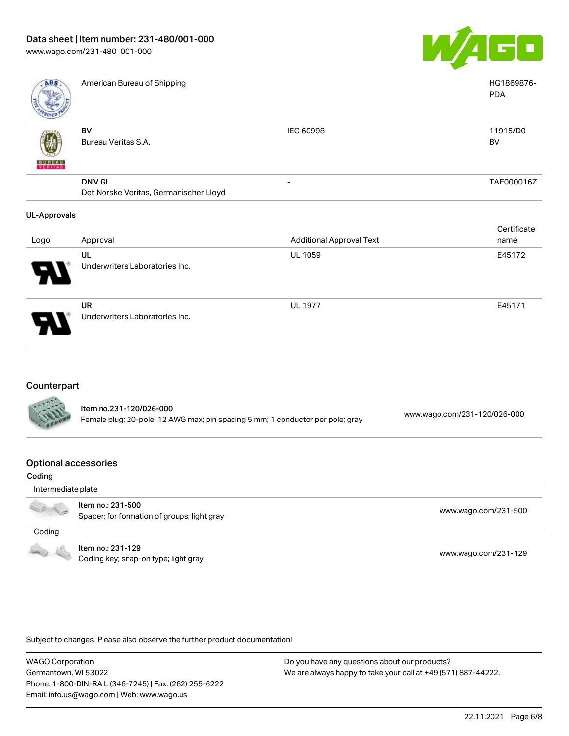

| ABS                 | American Bureau of Shipping            |                                 | HG1869876-<br><b>PDA</b> |
|---------------------|----------------------------------------|---------------------------------|--------------------------|
|                     | BV                                     | IEC 60998                       | 11915/D0                 |
|                     | Bureau Veritas S.A.                    |                                 | BV                       |
| <b>BUNEAU</b>       |                                        |                                 |                          |
|                     | <b>DNV GL</b>                          | -                               | TAE000016Z               |
|                     | Det Norske Veritas, Germanischer Lloyd |                                 |                          |
| <b>UL-Approvals</b> |                                        |                                 |                          |
|                     |                                        |                                 | Certificate              |
| Logo                | Approval                               | <b>Additional Approval Text</b> | name                     |
|                     | UL                                     | <b>UL 1059</b>                  | E45172                   |
|                     | Underwriters Laboratories Inc.         |                                 |                          |
|                     | UR                                     | <b>UL 1977</b>                  | E45171                   |
|                     | Underwriters Laboratories Inc.         |                                 |                          |

# Counterpart

| <b>CALLES</b> | ltem no.231-120/026-000<br>Female plug; 20-pole; 12 AWG max; pin spacing 5 mm; 1 conductor per pole; gray | www.wago.com/231-120/026-000 |
|---------------|-----------------------------------------------------------------------------------------------------------|------------------------------|
|               |                                                                                                           |                              |

#### Optional accessories

| Coding             |                                                                  |                      |
|--------------------|------------------------------------------------------------------|----------------------|
| Intermediate plate |                                                                  |                      |
|                    | Item no.: 231-500<br>Spacer; for formation of groups; light gray | www.wago.com/231-500 |
| Coding             |                                                                  |                      |
|                    | Item no.: 231-129<br>Coding key; snap-on type; light gray        | www.wago.com/231-129 |

Subject to changes. Please also observe the further product documentation!

WAGO Corporation Germantown, WI 53022 Phone: 1-800-DIN-RAIL (346-7245) | Fax: (262) 255-6222 Email: info.us@wago.com | Web: www.wago.us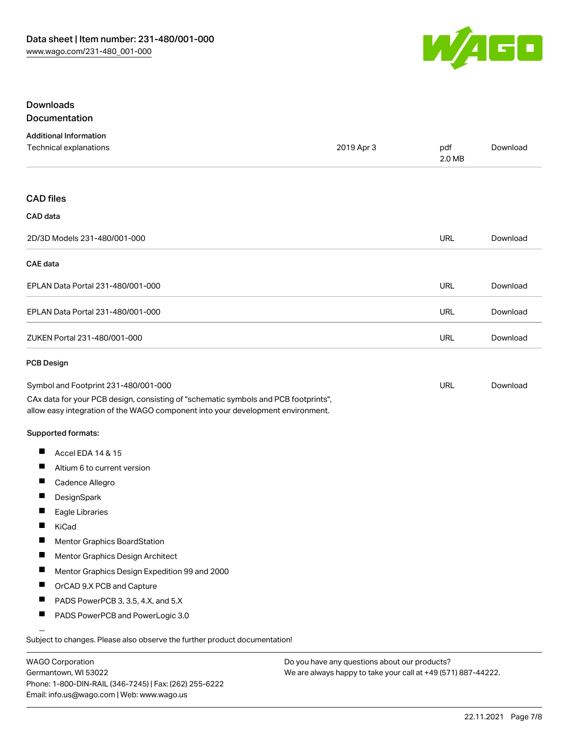

#### Downloads **Documentation**

|   | ---------------- |        |  |
|---|------------------|--------|--|
|   |                  |        |  |
|   |                  |        |  |
| . |                  | $\sim$ |  |

| <b>Additional Information</b><br>Technical explanations                                                                                                                | 2019 Apr 3 | pdf<br>2.0 MB | Download |
|------------------------------------------------------------------------------------------------------------------------------------------------------------------------|------------|---------------|----------|
| <b>CAD</b> files                                                                                                                                                       |            |               |          |
| CAD data                                                                                                                                                               |            |               |          |
| 2D/3D Models 231-480/001-000                                                                                                                                           |            | <b>URL</b>    | Download |
| <b>CAE</b> data                                                                                                                                                        |            |               |          |
| EPLAN Data Portal 231-480/001-000                                                                                                                                      |            | <b>URL</b>    | Download |
| EPLAN Data Portal 231-480/001-000                                                                                                                                      |            | <b>URL</b>    | Download |
| ZUKEN Portal 231-480/001-000                                                                                                                                           |            | <b>URL</b>    | Download |
| <b>PCB Design</b>                                                                                                                                                      |            |               |          |
| Symbol and Footprint 231-480/001-000                                                                                                                                   |            | <b>URL</b>    | Download |
| CAx data for your PCB design, consisting of "schematic symbols and PCB footprints",<br>allow easy integration of the WAGO component into your development environment. |            |               |          |
| <b>Supported formats:</b>                                                                                                                                              |            |               |          |
| П<br>Accel EDA 14 & 15                                                                                                                                                 |            |               |          |
| ш<br>Altium 6 to current version                                                                                                                                       |            |               |          |
| $\blacksquare$<br>Cadence Allegro                                                                                                                                      |            |               |          |
| п<br>DesignSpark                                                                                                                                                       |            |               |          |
| $\blacksquare$<br>Eagle Libraries                                                                                                                                      |            |               |          |
| П<br>KiCad                                                                                                                                                             |            |               |          |
| ш<br>Mentor Graphics BoardStation                                                                                                                                      |            |               |          |
| ш<br>Mentor Graphics Design Architect                                                                                                                                  |            |               |          |
| Mentor Graphics Design Expedition 99 and 2000<br>L                                                                                                                     |            |               |          |
| П<br>OrCAD 9.X PCB and Capture                                                                                                                                         |            |               |          |
| ш<br>PADS PowerPCB 3, 3.5, 4.X, and 5.X                                                                                                                                |            |               |          |
| $\blacksquare$<br>PADS PowerPCB and PowerLogic 3.0                                                                                                                     |            |               |          |
| Subject to changes. Please also observe the further product documentation!                                                                                             |            |               |          |